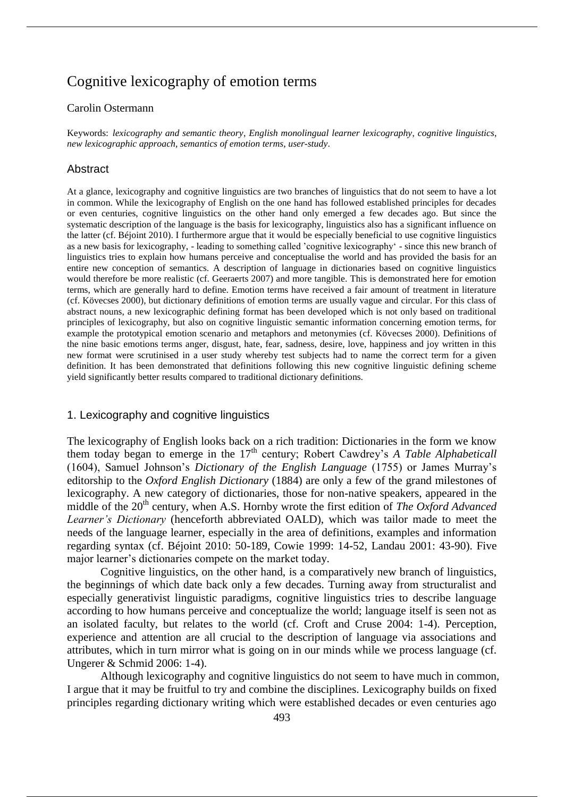# Cognitive lexicography of emotion terms

### Carolin Ostermann

Keywords: *lexicography and semantic theory*, *English monolingual learner lexicography*, *cognitive linguistics*, *new lexicographic approach*, *semantics of emotion terms*, *user-study*.

#### Abstract

At a glance, lexicography and cognitive linguistics are two branches of linguistics that do not seem to have a lot in common. While the lexicography of English on the one hand has followed established principles for decades or even centuries, cognitive linguistics on the other hand only emerged a few decades ago. But since the systematic description of the language is the basis for lexicography, linguistics also has a significant influence on the latter (cf. Béjoint 2010). I furthermore argue that it would be especially beneficial to use cognitive linguistics as a new basis for lexicography, - leading to something called 'cognitive lexicography' - since this new branch of linguistics tries to explain how humans perceive and conceptualise the world and has provided the basis for an entire new conception of semantics. A description of language in dictionaries based on cognitive linguistics would therefore be more realistic (cf. Geeraerts 2007) and more tangible. This is demonstrated here for emotion terms, which are generally hard to define. Emotion terms have received a fair amount of treatment in literature (cf. Kövecses 2000), but dictionary definitions of emotion terms are usually vague and circular. For this class of abstract nouns, a new lexicographic defining format has been developed which is not only based on traditional principles of lexicography, but also on cognitive linguistic semantic information concerning emotion terms, for example the prototypical emotion scenario and metaphors and metonymies (cf. Kövecses 2000). Definitions of the nine basic emotions terms anger, disgust, hate, fear, sadness, desire, love, happiness and joy written in this new format were scrutinised in a user study whereby test subjects had to name the correct term for a given definition. It has been demonstrated that definitions following this new cognitive linguistic defining scheme yield significantly better results compared to traditional dictionary definitions.

#### 1. Lexicography and cognitive linguistics

The lexicography of English looks back on a rich tradition: Dictionaries in the form we know them today began to emerge in the 17<sup>th</sup> century; Robert Cawdrey's *A Table Alphabeticall* (1604), Samuel Johnson's *Dictionary of the English Language* (1755) or James Murray's editorship to the *Oxford English Dictionary* (1884) are only a few of the grand milestones of lexicography. A new category of dictionaries, those for non-native speakers, appeared in the middle of the 20<sup>th</sup> century, when A.S. Hornby wrote the first edition of *The Oxford Advanced Learner's Dictionary* (henceforth abbreviated OALD), which was tailor made to meet the needs of the language learner, especially in the area of definitions, examples and information regarding syntax (cf. Béjoint 2010: 50-189, Cowie 1999: 14-52, Landau 2001: 43-90). Five major learner's dictionaries compete on the market today.

Cognitive linguistics, on the other hand, is a comparatively new branch of linguistics, the beginnings of which date back only a few decades. Turning away from structuralist and especially generativist linguistic paradigms, cognitive linguistics tries to describe language according to how humans perceive and conceptualize the world; language itself is seen not as an isolated faculty, but relates to the world (cf. Croft and Cruse 2004: 1-4). Perception, experience and attention are all crucial to the description of language via associations and attributes, which in turn mirror what is going on in our minds while we process language (cf. Ungerer & Schmid 2006: 1-4).

Although lexicography and cognitive linguistics do not seem to have much in common, I argue that it may be fruitful to try and combine the disciplines. Lexicography builds on fixed principles regarding dictionary writing which were established decades or even centuries ago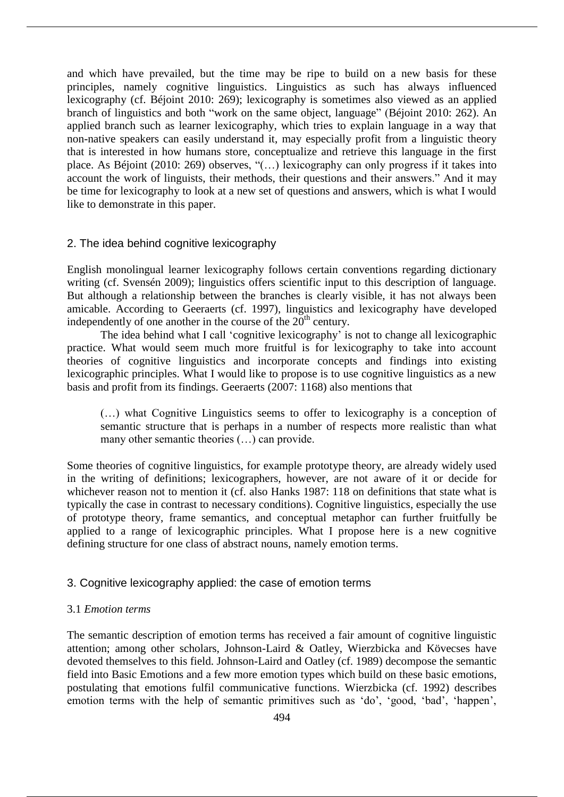and which have prevailed, but the time may be ripe to build on a new basis for these principles, namely cognitive linguistics. Linguistics as such has always influenced lexicography (cf. Béjoint 2010: 269); lexicography is sometimes also viewed as an applied branch of linguistics and both "work on the same object, language" (Béjoint 2010: 262). An applied branch such as learner lexicography, which tries to explain language in a way that non-native speakers can easily understand it, may especially profit from a linguistic theory that is interested in how humans store, conceptualize and retrieve this language in the first place. As Béjoint (2010: 269) observes, "(…) lexicography can only progress if it takes into account the work of linguists, their methods, their questions and their answers." And it may be time for lexicography to look at a new set of questions and answers, which is what I would like to demonstrate in this paper.

# 2. The idea behind cognitive lexicography

English monolingual learner lexicography follows certain conventions regarding dictionary writing (cf. Svensén 2009); linguistics offers scientific input to this description of language. But although a relationship between the branches is clearly visible, it has not always been amicable. According to Geeraerts (cf. 1997), linguistics and lexicography have developed independently of one another in the course of the  $20<sup>th</sup>$  century.

The idea behind what I call 'cognitive lexicography' is not to change all lexicographic practice. What would seem much more fruitful is for lexicography to take into account theories of cognitive linguistics and incorporate concepts and findings into existing lexicographic principles. What I would like to propose is to use cognitive linguistics as a new basis and profit from its findings. Geeraerts (2007: 1168) also mentions that

(…) what Cognitive Linguistics seems to offer to lexicography is a conception of semantic structure that is perhaps in a number of respects more realistic than what many other semantic theories (…) can provide.

Some theories of cognitive linguistics, for example prototype theory, are already widely used in the writing of definitions; lexicographers, however, are not aware of it or decide for whichever reason not to mention it (cf. also Hanks 1987: 118 on definitions that state what is typically the case in contrast to necessary conditions). Cognitive linguistics, especially the use of prototype theory, frame semantics, and conceptual metaphor can further fruitfully be applied to a range of lexicographic principles. What I propose here is a new cognitive defining structure for one class of abstract nouns, namely emotion terms.

### 3. Cognitive lexicography applied: the case of emotion terms

### 3.1 *Emotion terms*

The semantic description of emotion terms has received a fair amount of cognitive linguistic attention; among other scholars, Johnson-Laird & Oatley, Wierzbicka and Kövecses have devoted themselves to this field. Johnson-Laird and Oatley (cf. 1989) decompose the semantic field into Basic Emotions and a few more emotion types which build on these basic emotions, postulating that emotions fulfil communicative functions. Wierzbicka (cf. 1992) describes emotion terms with the help of semantic primitives such as 'do', 'good, 'bad', 'happen',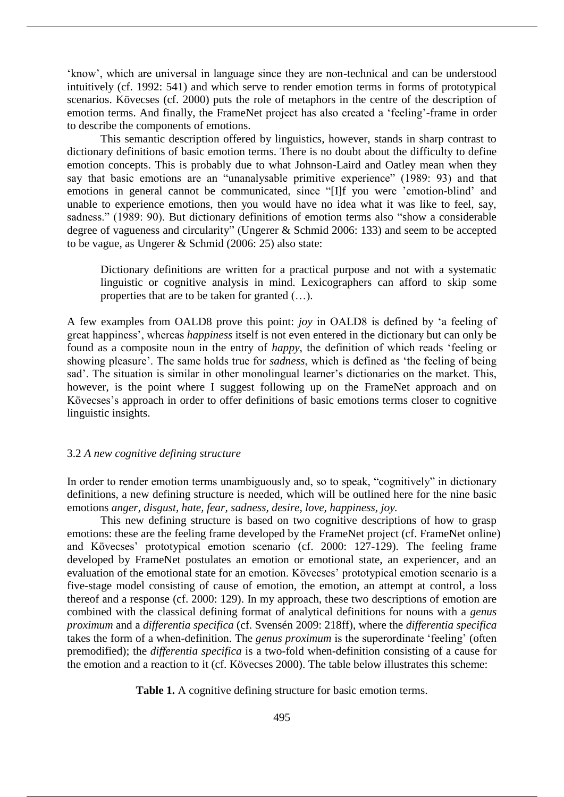'know', which are universal in language since they are non-technical and can be understood intuitively (cf. 1992: 541) and which serve to render emotion terms in forms of prototypical scenarios. Kövecses (cf. 2000) puts the role of metaphors in the centre of the description of emotion terms. And finally, the FrameNet project has also created a 'feeling'-frame in order to describe the components of emotions.

This semantic description offered by linguistics, however, stands in sharp contrast to dictionary definitions of basic emotion terms. There is no doubt about the difficulty to define emotion concepts. This is probably due to what Johnson-Laird and Oatley mean when they say that basic emotions are an "unanalysable primitive experience" (1989: 93) and that emotions in general cannot be communicated, since "[I]f you were 'emotion-blind' and unable to experience emotions, then you would have no idea what it was like to feel, say, sadness." (1989: 90). But dictionary definitions of emotion terms also "show a considerable degree of vagueness and circularity" (Ungerer & Schmid 2006: 133) and seem to be accepted to be vague, as Ungerer & Schmid (2006: 25) also state:

Dictionary definitions are written for a practical purpose and not with a systematic linguistic or cognitive analysis in mind. Lexicographers can afford to skip some properties that are to be taken for granted (…).

A few examples from OALD8 prove this point: *joy* in OALD8 is defined by 'a feeling of great happiness', whereas *happiness* itself is not even entered in the dictionary but can only be found as a composite noun in the entry of *happy*, the definition of which reads 'feeling or showing pleasure'. The same holds true for *sadness*, which is defined as 'the feeling of being sad'. The situation is similar in other monolingual learner's dictionaries on the market. This, however, is the point where I suggest following up on the FrameNet approach and on Kövecses's approach in order to offer definitions of basic emotions terms closer to cognitive linguistic insights.

### 3.2 *A new cognitive defining structure*

In order to render emotion terms unambiguously and, so to speak, "cognitively" in dictionary definitions, a new defining structure is needed, which will be outlined here for the nine basic emotions *anger, disgust, hate, fear, sadness, desire, love, happiness, joy.*

This new defining structure is based on two cognitive descriptions of how to grasp emotions: these are the feeling frame developed by the FrameNet project (cf. FrameNet online) and Kövecses' prototypical emotion scenario (cf. 2000: 127-129). The feeling frame developed by FrameNet postulates an emotion or emotional state, an experiencer, and an evaluation of the emotional state for an emotion. Kövecses' prototypical emotion scenario is a five-stage model consisting of cause of emotion, the emotion, an attempt at control, a loss thereof and a response (cf. 2000: 129). In my approach, these two descriptions of emotion are combined with the classical defining format of analytical definitions for nouns with a *genus proximum* and a *differentia specifica* (cf. Svensén 2009: 218ff), where the *differentia specifica* takes the form of a when-definition. The *genus proximum* is the superordinate 'feeling' (often premodified); the *differentia specifica* is a two-fold when-definition consisting of a cause for the emotion and a reaction to it (cf. Kövecses 2000). The table below illustrates this scheme:

Table 1. A cognitive defining structure for basic emotion terms.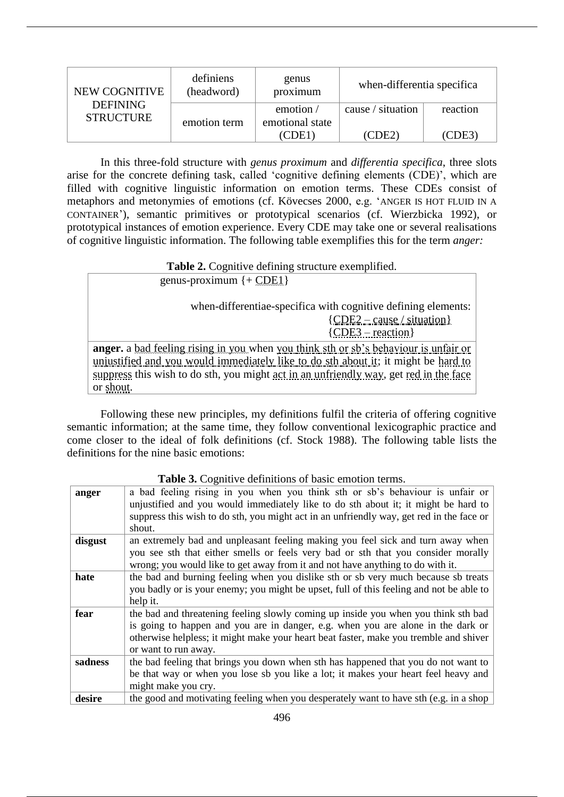| NEW COGNITIVE                       | definiens<br>(headword) | genus<br>proximum                   | when-differentia specifica |          |
|-------------------------------------|-------------------------|-------------------------------------|----------------------------|----------|
| <b>DEFINING</b><br><b>STRUCTURE</b> | emotion term            | emotion $\prime$<br>emotional state | cause / situation          | reaction |
|                                     |                         | CDE1                                | (CDE2)                     | (CDE3)   |

In this three-fold structure with *genus proximum* and *differentia specifica*, three slots arise for the concrete defining task, called 'cognitive defining elements (CDE)', which are filled with cognitive linguistic information on emotion terms. These CDEs consist of metaphors and metonymies of emotions (cf. Kövecses 2000, e.g. 'ANGER IS HOT FLUID IN A CONTAINER'), semantic primitives or prototypical scenarios (cf. Wierzbicka 1992), or prototypical instances of emotion experience. Every CDE may take one or several realisations of cognitive linguistic information. The following table exemplifies this for the term *anger:*

Table 2. Cognitive defining structure exemplified.

| genus-proximum $\{ + CDE1 \}$                                                               |
|---------------------------------------------------------------------------------------------|
| when-differentiae-specifica with cognitive defining elements:                               |
| ${CDE2 - cause / situation}$                                                                |
| ${CDE3 - reaction}$                                                                         |
| <b>anger.</b> a bad feeling rising in you when you think sth or sb's behaviour is unfair or |
| unjustified and you would immediately like to do sth about it; it might be hard to          |
| suppress this wish to do sth, you might act in an unfriendly way, get red in the face       |
| or shout.                                                                                   |

Following these new principles, my definitions fulfil the criteria of offering cognitive semantic information; at the same time, they follow conventional lexicographic practice and come closer to the ideal of folk definitions (cf. Stock 1988). The following table lists the definitions for the nine basic emotions:

|         | <b>THOIC OF CORTHLIP GOTHLIFTING</b> OF DROIT CHILD COLLEGE                                                                                                         |
|---------|---------------------------------------------------------------------------------------------------------------------------------------------------------------------|
| anger   | a bad feeling rising in you when you think sth or sb's behaviour is unfair or<br>unjustified and you would immediately like to do sth about it; it might be hard to |
|         | suppress this wish to do sth, you might act in an unfriendly way, get red in the face or                                                                            |
|         | shout.                                                                                                                                                              |
| disgust | an extremely bad and unpleasant feeling making you feel sick and turn away when                                                                                     |
|         | you see sth that either smells or feels very bad or sth that you consider morally<br>wrong; you would like to get away from it and not have anything to do with it. |
|         |                                                                                                                                                                     |
| hate    | the bad and burning feeling when you dislike sth or sb very much because sb treats                                                                                  |
|         | you badly or is your enemy; you might be upset, full of this feeling and not be able to                                                                             |
|         | help it.                                                                                                                                                            |
| fear    | the bad and threatening feeling slowly coming up inside you when you think sth bad                                                                                  |
|         | is going to happen and you are in danger, e.g. when you are alone in the dark or                                                                                    |
|         | otherwise helpless; it might make your heart beat faster, make you tremble and shiver                                                                               |
|         | or want to run away.                                                                                                                                                |
| sadness | the bad feeling that brings you down when sth has happened that you do not want to                                                                                  |
|         | be that way or when you lose sb you like a lot; it makes your heart feel heavy and                                                                                  |
|         | might make you cry.                                                                                                                                                 |
| desire  | the good and motivating feeling when you desperately want to have sth (e.g. in a shop                                                                               |

# **Table 3.** Cognitive definitions of basic emotion terms.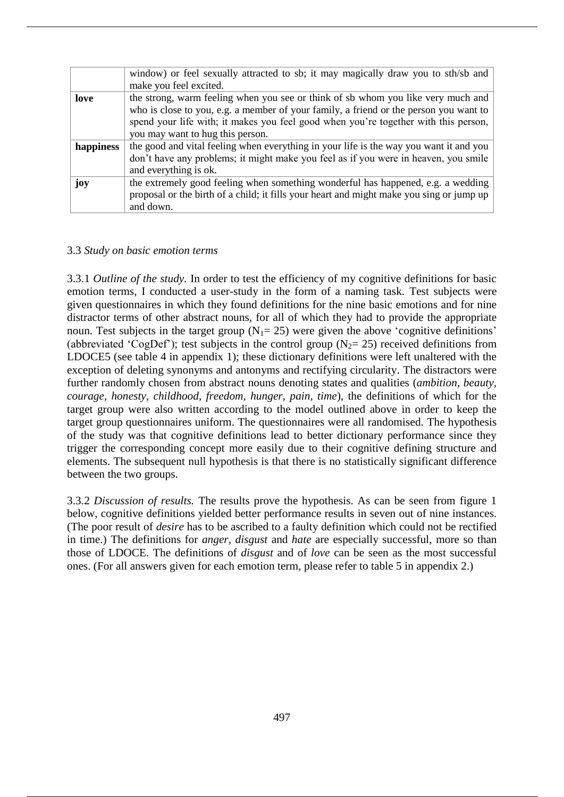|           | window) or feel sexually attracted to sb; it may magically draw you to sth/sb and        |  |  |  |  |  |
|-----------|------------------------------------------------------------------------------------------|--|--|--|--|--|
|           | make you feel excited.                                                                   |  |  |  |  |  |
| love      | the strong, warm feeling when you see or think of sb whom you like very much and         |  |  |  |  |  |
|           | who is close to you, e.g. a member of your family, a friend or the person you want to    |  |  |  |  |  |
|           | spend your life with; it makes you feel good when you're together with this person,      |  |  |  |  |  |
|           | you may want to hug this person.                                                         |  |  |  |  |  |
| happiness | the good and vital feeling when everything in your life is the way you want it and you   |  |  |  |  |  |
|           | don't have any problems; it might make you feel as if you were in heaven, you smile      |  |  |  |  |  |
|           | and everything is ok.                                                                    |  |  |  |  |  |
| joy       | the extremely good feeling when something wonderful has happened, e.g. a wedding         |  |  |  |  |  |
|           | proposal or the birth of a child; it fills your heart and might make you sing or jump up |  |  |  |  |  |
|           | and down.                                                                                |  |  |  |  |  |

### 3.3 *Study on basic emotion terms*

3.3.1 *Outline of the study.* In order to test the efficiency of my cognitive definitions for basic emotion terms, I conducted a user-study in the form of a naming task. Test subjects were given questionnaires in which they found definitions for the nine basic emotions and for nine distractor terms of other abstract nouns, for all of which they had to provide the appropriate noun. Test subjects in the target group  $(N_1=25)$  were given the above 'cognitive definitions' (abbreviated 'CogDef'); test subjects in the control group ( $N_2$ = 25) received definitions from LDOCE5 (see table 4 in appendix 1); these dictionary definitions were left unaltered with the exception of deleting synonyms and antonyms and rectifying circularity. The distractors were further randomly chosen from abstract nouns denoting states and qualities (*ambition, beauty, courage, honesty, childhood, freedom, hunger, pain, time*), the definitions of which for the target group were also written according to the model outlined above in order to keep the target group questionnaires uniform. The questionnaires were all randomised. The hypothesis of the study was that cognitive definitions lead to better dictionary performance since they trigger the corresponding concept more easily due to their cognitive defining structure and elements. The subsequent null hypothesis is that there is no statistically significant difference between the two groups.

3.3.2 *Discussion of results.* The results prove the hypothesis. As can be seen from figure 1 below, cognitive definitions yielded better performance results in seven out of nine instances. (The poor result of *desire* has to be ascribed to a faulty definition which could not be rectified in time.) The definitions for *anger, disgust* and *hate* are especially successful, more so than those of LDOCE. The definitions of *disgust* and of *love* can be seen as the most successful ones. (For all answers given for each emotion term, please refer to table 5 in appendix 2.)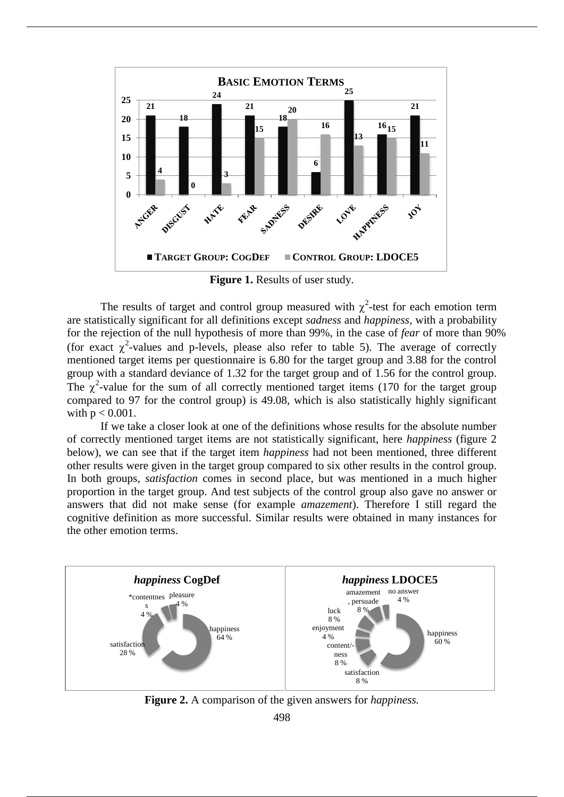

**Figure 1.** Results of user study.

The results of target and control group measured with  $\chi^2$ -test for each emotion term are statistically significant for all definitions except *sadness* and *happiness,* with a probability for the rejection of the null hypothesis of more than 99%, in the case of *fear* of more than 90% (for exact  $\chi^2$ -values and p-levels, please also refer to table 5). The average of correctly mentioned target items per questionnaire is 6.80 for the target group and 3.88 for the control group with a standard deviance of 1.32 for the target group and of 1.56 for the control group. The  $\chi^2$ -value for the sum of all correctly mentioned target items (170 for the target group compared to 97 for the control group) is 49.08, which is also statistically highly significant with  $p < 0.001$ .

If we take a closer look at one of the definitions whose results for the absolute number of correctly mentioned target items are not statistically significant, here *happiness* (figure 2 below), we can see that if the target item *happiness* had not been mentioned, three different other results were given in the target group compared to six other results in the control group. In both groups, *satisfaction* comes in second place, but was mentioned in a much higher proportion in the target group. And test subjects of the control group also gave no answer or answers that did not make sense (for example *amazement*). Therefore I still regard the cognitive definition as more successful. Similar results were obtained in many instances for the other emotion terms.



**Figure 2.** A comparison of the given answers for *happiness.*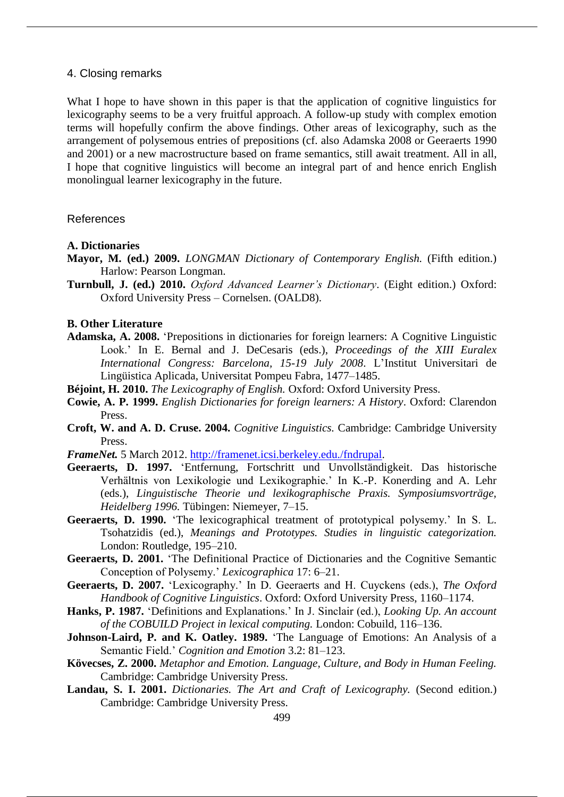# 4. Closing remarks

What I hope to have shown in this paper is that the application of cognitive linguistics for lexicography seems to be a very fruitful approach. A follow-up study with complex emotion terms will hopefully confirm the above findings. Other areas of lexicography, such as the arrangement of polysemous entries of prepositions (cf. also Adamska 2008 or Geeraerts 1990 and 2001) or a new macrostructure based on frame semantics, still await treatment. All in all, I hope that cognitive linguistics will become an integral part of and hence enrich English monolingual learner lexicography in the future.

### References

### **A. Dictionaries**

- **Mayor, M. (ed.) 2009.** *LONGMAN Dictionary of Contemporary English.* (Fifth edition.) Harlow: Pearson Longman.
- **Turnbull, J. (ed.) 2010.** *Oxford Advanced Learner's Dictionary*. (Eight edition.) Oxford: Oxford University Press – Cornelsen. (OALD8).

#### **B. Other Literature**

- **Adamska, A. 2008.** 'Prepositions in dictionaries for foreign learners: A Cognitive Linguistic Look.' In E. Bernal and J. DeCesaris (eds.), *Proceedings of the XIII Euralex International Congress: Barcelona, 15-19 July 2008*. L'Institut Universitari de Lingüistica Aplicada, Universitat Pompeu Fabra, 1477–1485.
- **Béjoint, H. 2010.** *The Lexicography of English.* Oxford: Oxford University Press.
- **Cowie, A. P. 1999.** *English Dictionaries for foreign learners: A History*. Oxford: Clarendon Press.
- **Croft, W. and A. D. Cruse. 2004.** *Cognitive Linguistics.* Cambridge: Cambridge University Press.
- *FrameNet.* 5 March 2012. http://framenet.icsi.berkeley.edu./fndrupal.
- **Geeraerts, D. 1997.** 'Entfernung, Fortschritt und Unvollständigkeit. Das historische Verhältnis von Lexikologie und Lexikographie.' In K.-P. Konerding and A. Lehr (eds.), *Linguistische Theorie und lexikographische Praxis. Symposiumsvorträge, Heidelberg 1996.* Tübingen: Niemeyer, 7–15.
- **Geeraerts, D. 1990.** 'The lexicographical treatment of prototypical polysemy.' In S. L. Tsohatzidis (ed.), *Meanings and Prototypes. Studies in linguistic categorization.* London: Routledge, 195–210.
- **Geeraerts, D. 2001.** 'The Definitional Practice of Dictionaries and the Cognitive Semantic Conception of Polysemy.' *Lexicographica* 17: 6–21.
- **Geeraerts, D. 2007.** 'Lexicography.' In D. Geeraerts and H. Cuyckens (eds.), *The Oxford Handbook of Cognitive Linguistics*. Oxford: Oxford University Press, 1160–1174.
- **Hanks, P. 1987.** 'Definitions and Explanations.' In J. Sinclair (ed.), *Looking Up. An account of the COBUILD Project in lexical computing.* London: Cobuild, 116–136.
- **Johnson-Laird, P. and K. Oatley. 1989.** 'The Language of Emotions: An Analysis of a Semantic Field.' *Cognition and Emotion* 3.2: 81–123.
- **Kövecses, Z. 2000.** *Metaphor and Emotion. Language, Culture, and Body in Human Feeling.* Cambridge: Cambridge University Press.
- **Landau, S. I. 2001.** *Dictionaries. The Art and Craft of Lexicography.* (Second edition.) Cambridge: Cambridge University Press.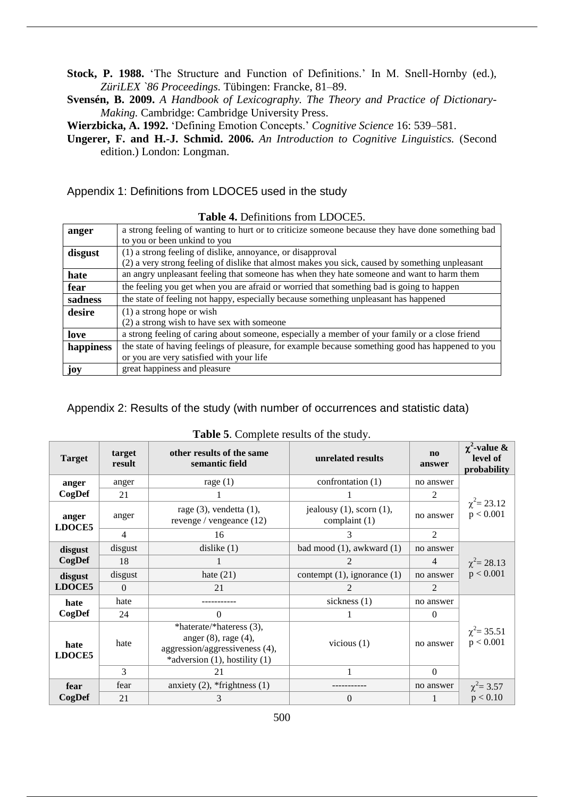**Stock, P. 1988.** 'The Structure and Function of Definitions.' In M. Snell-Hornby (ed.), *ZüriLEX `86 Proceedings.* Tübingen: Francke, 81–89.

**Svensén, B. 2009.** *A Handbook of Lexicography. The Theory and Practice of Dictionary-Making.* Cambridge: Cambridge University Press.

**Wierzbicka, A. 1992.** 'Defining Emotion Concepts.' *Cognitive Science* 16: 539–581.

**Ungerer, F. and H.-J. Schmid. 2006.** *An Introduction to Cognitive Linguistics.* (Second edition.) London: Longman.

Appendix 1: Definitions from LDOCE5 used in the study

| <b>THEIR T.</b> DUMINIOUS HOME LIDOCLY. |                                                                                                  |  |  |  |
|-----------------------------------------|--------------------------------------------------------------------------------------------------|--|--|--|
| anger                                   | a strong feeling of wanting to hurt or to criticize someone because they have done something bad |  |  |  |
|                                         | to you or been unkind to you                                                                     |  |  |  |
| disgust                                 | (1) a strong feeling of dislike, annoyance, or disapproval                                       |  |  |  |
|                                         | (2) a very strong feeling of dislike that almost makes you sick, caused by something unpleasant  |  |  |  |
| hate                                    | an angry unpleasant feeling that someone has when they hate someone and want to harm them        |  |  |  |
| fear                                    | the feeling you get when you are afraid or worried that something bad is going to happen         |  |  |  |
| sadness                                 | the state of feeling not happy, especially because something unpleasant has happened             |  |  |  |
| desire                                  | $(1)$ a strong hope or wish                                                                      |  |  |  |
|                                         | (2) a strong wish to have sex with someone                                                       |  |  |  |
| love                                    | a strong feeling of caring about someone, especially a member of your family or a close friend   |  |  |  |
| happiness                               | the state of having feelings of pleasure, for example because something good has happened to you |  |  |  |
|                                         | or you are very satisfied with your life                                                         |  |  |  |
| joy                                     | great happiness and pleasure                                                                     |  |  |  |

### **Table 4.** Definitions from LDOCE5.

Appendix 2: Results of the study (with number of occurrences and statistic data)

**Target target result other results of the same semantic field unrelated results no answer**  $\chi^2$ -value & **level of probability anger CogDef** anger  $\vert$  rage (1) confrontation (1)  $\vert$  no answer  $\chi^2$  = 23.12  $p < 0.001$ 21 1 1 2 **anger LDOCE5** anger rage (3), vendetta (1), revenge / vengeance (12) jealousy  $(1)$ , scorn  $(1)$ ,  $\begin{array}{c} \text{cousy (1),} \text{sconl (1),} \\ \text{complaint (1)} \end{array}$  no answer 4 | 16 | 3 | 2 **disgust CogDef** disgust dislike (1) bad mood (1), awkward (1) no answer  $\chi^2$  = 28.13  $p < 0.001$  $18$  1 2 4 **disgust LDOCE5** disgust hate  $(21)$  contempt  $(1)$ , ignorance  $(1)$  no answer  $0 \qquad \qquad 21 \qquad \qquad 2 \qquad \qquad 2$ **hate CogDef** hate ----------- sickness (1) no answer  $\chi^2$  = 35.51  $p < 0.001$ 24 0 1 0 **hate LDOCE5** hate \*haterate/\*hateress (3), anger (8), rage (4), aggression/aggressiveness (4), \*adversion (1), hostility (1) vicious (1) ho answer  $3 \quad | \quad 21 \quad | \quad 1 \quad | \quad 0$ **fear CogDef** fear anxiety  $(2)$ , \*frightness  $(1)$  ----------- no answer  $^2 = 3.57$ 21 3 3 0 1 p < 0.10

**Table 5**. Complete results of the study.